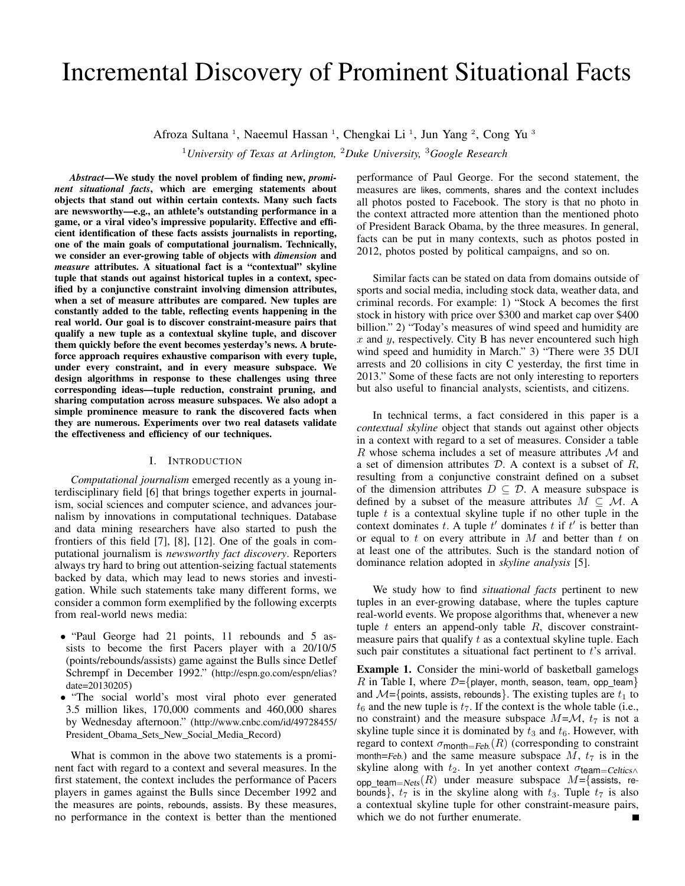# Incremental Discovery of Prominent Situational Facts

Afroza Sultana<sup>1</sup>, Naeemul Hassan<sup>1</sup>, Chengkai Li<sup>1</sup>, Jun Yang<sup>2</sup>, Cong Yu<sup>3</sup>

<sup>1</sup>*University of Texas at Arlington,* <sup>2</sup>*Duke University,* <sup>3</sup>*Google Research*

*Abstract***—We study the novel problem of finding new,** *prominent situational facts***, which are emerging statements about objects that stand out within certain contexts. Many such facts are newsworthy—e.g., an athlete's outstanding performance in a game, or a viral video's impressive popularity. Effective and efficient identification of these facts assists journalists in reporting, one of the main goals of computational journalism. Technically, we consider an ever-growing table of objects with** *dimension* **and** *measure* **attributes. A situational fact is a "contextual" skyline tuple that stands out against historical tuples in a context, specified by a conjunctive constraint involving dimension attributes, when a set of measure attributes are compared. New tuples are constantly added to the table, reflecting events happening in the real world. Our goal is to discover constraint-measure pairs that qualify a new tuple as a contextual skyline tuple, and discover them quickly before the event becomes yesterday's news. A bruteforce approach requires exhaustive comparison with every tuple, under every constraint, and in every measure subspace. We design algorithms in response to these challenges using three corresponding ideas—tuple reduction, constraint pruning, and sharing computation across measure subspaces. We also adopt a simple prominence measure to rank the discovered facts when they are numerous. Experiments over two real datasets validate the effectiveness and efficiency of our techniques.**

# I. INTRODUCTION

*Computational journalism* emerged recently as a young interdisciplinary field [6] that brings together experts in journalism, social sciences and computer science, and advances journalism by innovations in computational techniques. Database and data mining researchers have also started to push the frontiers of this field [7], [8], [12]. One of the goals in computational journalism is *newsworthy fact discovery*. Reporters always try hard to bring out attention-seizing factual statements backed by data, which may lead to news stories and investigation. While such statements take many different forms, we consider a common form exemplified by the following excerpts from real-world news media:

- "Paul George had 21 points, 11 rebounds and 5 assists to become the first Pacers player with a 20/10/5 (points/rebounds/assists) game against the Bulls since Detlef Schrempf in December 1992." (http://espn.go.com/espn/elias? date=20130205)
- "The social world's most viral photo ever generated 3.5 million likes, 170,000 comments and 460,000 shares by Wednesday afternoon." (http://www.cnbc.com/id/49728455/ President\_Obama\_Sets\_New\_Social\_Media\_Record)

What is common in the above two statements is a prominent fact with regard to a context and several measures. In the first statement, the context includes the performance of Pacers players in games against the Bulls since December 1992 and the measures are points, rebounds, assists. By these measures, no performance in the context is better than the mentioned performance of Paul George. For the second statement, the measures are likes, comments, shares and the context includes all photos posted to Facebook. The story is that no photo in the context attracted more attention than the mentioned photo of President Barack Obama, by the three measures. In general, facts can be put in many contexts, such as photos posted in 2012, photos posted by political campaigns, and so on.

Similar facts can be stated on data from domains outside of sports and social media, including stock data, weather data, and criminal records. For example: 1) "Stock A becomes the first stock in history with price over \$300 and market cap over \$400 billion." 2) "Today's measures of wind speed and humidity are  $x$  and  $y$ , respectively. City B has never encountered such high wind speed and humidity in March." 3) "There were 35 DUI arrests and 20 collisions in city C yesterday, the first time in 2013." Some of these facts are not only interesting to reporters but also useful to financial analysts, scientists, and citizens.

In technical terms, a fact considered in this paper is a *contextual skyline* object that stands out against other objects in a context with regard to a set of measures. Consider a table R whose schema includes a set of measure attributes M and a set of dimension attributes  $D$ . A context is a subset of  $R$ , resulting from a conjunctive constraint defined on a subset of the dimension attributes  $D \subseteq D$ . A measure subspace is defined by a subset of the measure attributes  $M \subseteq M$ . A tuple  $t$  is a contextual skyline tuple if no other tuple in the context dominates  $t$ . A tuple  $t'$  dominates  $t$  if  $t'$  is better than or equal to  $t$  on every attribute in  $M$  and better than  $t$  on at least one of the attributes. Such is the standard notion of dominance relation adopted in *skyline analysis* [5].

We study how to find *situational facts* pertinent to new tuples in an ever-growing database, where the tuples capture real-world events. We propose algorithms that, whenever a new tuple  $t$  enters an append-only table  $R$ , discover constraintmeasure pairs that qualify  $t$  as a contextual skyline tuple. Each such pair constitutes a situational fact pertinent to  $t$ 's arrival.

**Example 1.** Consider the mini-world of basketball gamelogs R in Table I, where  $D = \{$ player, month, season, team, opp\_team $\}$ and  $M=\{$  points, assists, rebounds  $\}$ . The existing tuples are  $t_1$  to  $t_6$  and the new tuple is  $t_7$ . If the context is the whole table (i.e., no constraint) and the measure subspace  $M = M$ ,  $t<sub>7</sub>$  is not a skyline tuple since it is dominated by  $t_3$  and  $t_6$ . However, with regard to context  $\sigma_{\text{month}=Feb}(R)$  (corresponding to constraint month=Feb.) and the same measure subspace  $M$ ,  $t_7$  is in the skyline along with  $t_2$ . In yet another context  $\sigma_{\text{team}=Celtics}$ opp\_team=Nets $(R)$  under measure subspace  $M$ ={assists, rebounds},  $t_7$  is in the skyline along with  $t_3$ . Tuple  $t_7$  is also a contextual skyline tuple for other constraint-measure pairs, which we do not further enumerate.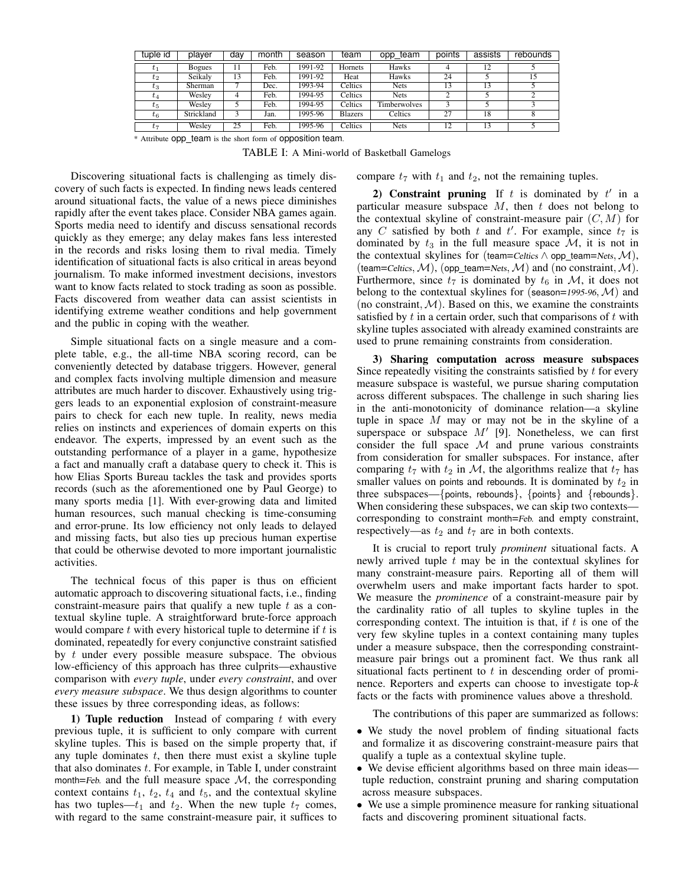| tuple id | player        | dav | month | season  | team           | opp_team     | points | assists | rebounds |
|----------|---------------|-----|-------|---------|----------------|--------------|--------|---------|----------|
| $t_1$    | <b>Bogues</b> | 11  | Feb.  | 1991-92 | Hornets        | Hawks        |        | 12      |          |
| $t_2$    | Seikalv       | 13  | Feb.  | 1991-92 | Heat           | Hawks        | 24     |         | 15       |
| $t_3$    | Sherman       |     | Dec.  | 1993-94 | Celtics        | <b>Nets</b>  |        | 13      |          |
| $t_4$    | Wesley        | 4   | Feb.  | 1994-95 | Celtics        | <b>Nets</b>  |        |         | ◠        |
| $t_{5}$  | Wesley        |     | Feb.  | 1994-95 | Celtics        | Timberwolves |        |         |          |
| $t_6$    | Strickland    | 3   | Jan.  | 1995-96 | <b>Blazers</b> | Celtics      | 27     | 18      |          |
| $t_7$    | Wesley        | 25  | Feb.  | 1995-96 | Celtics        | <b>Nets</b>  | 12     | 13      |          |

\* Attribute opp\_team is the short form of opposition team.

TABLE I: A Mini-world of Basketball Gamelogs

Discovering situational facts is challenging as timely discovery of such facts is expected. In finding news leads centered around situational facts, the value of a news piece diminishes rapidly after the event takes place. Consider NBA games again. Sports media need to identify and discuss sensational records quickly as they emerge; any delay makes fans less interested in the records and risks losing them to rival media. Timely identification of situational facts is also critical in areas beyond journalism. To make informed investment decisions, investors want to know facts related to stock trading as soon as possible. Facts discovered from weather data can assist scientists in identifying extreme weather conditions and help government and the public in coping with the weather.

Simple situational facts on a single measure and a complete table, e.g., the all-time NBA scoring record, can be conveniently detected by database triggers. However, general and complex facts involving multiple dimension and measure attributes are much harder to discover. Exhaustively using triggers leads to an exponential explosion of constraint-measure pairs to check for each new tuple. In reality, news media relies on instincts and experiences of domain experts on this endeavor. The experts, impressed by an event such as the outstanding performance of a player in a game, hypothesize a fact and manually craft a database query to check it. This is how Elias Sports Bureau tackles the task and provides sports records (such as the aforementioned one by Paul George) to many sports media [1]. With ever-growing data and limited human resources, such manual checking is time-consuming and error-prune. Its low efficiency not only leads to delayed and missing facts, but also ties up precious human expertise that could be otherwise devoted to more important journalistic activities.

The technical focus of this paper is thus on efficient automatic approach to discovering situational facts, i.e., finding constraint-measure pairs that qualify a new tuple  $t$  as a contextual skyline tuple. A straightforward brute-force approach would compare  $t$  with every historical tuple to determine if  $t$  is dominated, repeatedly for every conjunctive constraint satisfied by t under every possible measure subspace. The obvious low-efficiency of this approach has three culprits—exhaustive comparison with *every tuple*, under *every constraint*, and over *every measure subspace*. We thus design algorithms to counter these issues by three corresponding ideas, as follows:

**1) Tuple reduction** Instead of comparing  $t$  with every previous tuple, it is sufficient to only compare with current skyline tuples. This is based on the simple property that, if any tuple dominates  $t$ , then there must exist a skyline tuple that also dominates  $t$ . For example, in Table I, under constraint month=Feb. and the full measure space  $M$ , the corresponding context contains  $t_1$ ,  $t_2$ ,  $t_4$  and  $t_5$ , and the contextual skyline has two tuples— $t_1$  and  $t_2$ . When the new tuple  $t_7$  comes, with regard to the same constraint-measure pair, it suffices to

compare  $t_7$  with  $t_1$  and  $t_2$ , not the remaining tuples.

**2) Constraint pruning** If  $t$  is dominated by  $t'$  in a particular measure subspace  $M$ , then  $t$  does not belong to the contextual skyline of constraint-measure pair  $(C, M)$  for any C satisfied by both t and t'. For example, since  $t_7$  is dominated by  $t_3$  in the full measure space  $\mathcal{M}$ , it is not in the contextual skylines for (team=Celtics  $\wedge$  opp\_team=Nets,  $\mathcal{M}$ ), (team=Celtics, M), (opp\_team=Nets, M) and (no constraint, M). Furthermore, since  $t_7$  is dominated by  $t_6$  in M, it does not belong to the contextual skylines for (season=1995-96,  $\mathcal{M}$ ) and (no constraint,  $M$ ). Based on this, we examine the constraints satisfied by  $t$  in a certain order, such that comparisons of  $t$  with skyline tuples associated with already examined constraints are used to prune remaining constraints from consideration.

**3) Sharing computation across measure subspaces** Since repeatedly visiting the constraints satisfied by t for every measure subspace is wasteful, we pursue sharing computation across different subspaces. The challenge in such sharing lies in the anti-monotonicity of dominance relation—a skyline tuple in space  $M$  may or may not be in the skyline of a superspace or subspace  $M'$  [9]. Nonetheless, we can first consider the full space  $M$  and prune various constraints from consideration for smaller subspaces. For instance, after comparing  $t_7$  with  $t_2$  in M, the algorithms realize that  $t_7$  has smaller values on points and rebounds. It is dominated by  $t_2$  in three subspaces—{points, rebounds}, {points} and {rebounds}. When considering these subspaces, we can skip two contexts corresponding to constraint month=Feb. and empty constraint, respectively—as  $t_2$  and  $t_7$  are in both contexts.

It is crucial to report truly *prominent* situational facts. A newly arrived tuple  $t$  may be in the contextual skylines for many constraint-measure pairs. Reporting all of them will overwhelm users and make important facts harder to spot. We measure the *prominence* of a constraint-measure pair by the cardinality ratio of all tuples to skyline tuples in the corresponding context. The intuition is that, if  $t$  is one of the very few skyline tuples in a context containing many tuples under a measure subspace, then the corresponding constraintmeasure pair brings out a prominent fact. We thus rank all situational facts pertinent to  $t$  in descending order of prominence. Reporters and experts can choose to investigate top-*k* facts or the facts with prominence values above a threshold.

The contributions of this paper are summarized as follows:

- We study the novel problem of finding situational facts and formalize it as discovering constraint-measure pairs that qualify a tuple as a contextual skyline tuple.
- We devise efficient algorithms based on three main ideas tuple reduction, constraint pruning and sharing computation across measure subspaces.
- We use a simple prominence measure for ranking situational facts and discovering prominent situational facts.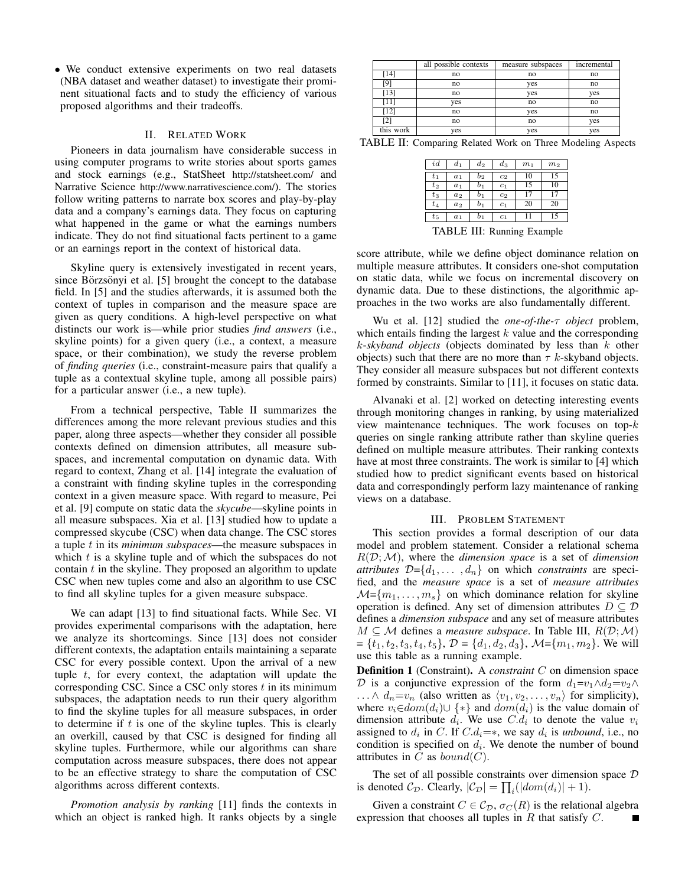• We conduct extensive experiments on two real datasets (NBA dataset and weather dataset) to investigate their prominent situational facts and to study the efficiency of various proposed algorithms and their tradeoffs.

# II. RELATED WORK

Pioneers in data journalism have considerable success in using computer programs to write stories about sports games and stock earnings (e.g., StatSheet http://statsheet.com/ and Narrative Science http://www.narrativescience.com/). The stories follow writing patterns to narrate box scores and play-by-play data and a company's earnings data. They focus on capturing what happened in the game or what the earnings numbers indicate. They do not find situational facts pertinent to a game or an earnings report in the context of historical data.

Skyline query is extensively investigated in recent years, since Börzsönyi et al. [5] brought the concept to the database field. In [5] and the studies afterwards, it is assumed both the context of tuples in comparison and the measure space are given as query conditions. A high-level perspective on what distincts our work is—while prior studies *find answers* (i.e., skyline points) for a given query (i.e., a context, a measure space, or their combination), we study the reverse problem of *finding queries* (i.e., constraint-measure pairs that qualify a tuple as a contextual skyline tuple, among all possible pairs) for a particular answer (i.e., a new tuple).

From a technical perspective, Table II summarizes the differences among the more relevant previous studies and this paper, along three aspects—whether they consider all possible contexts defined on dimension attributes, all measure subspaces, and incremental computation on dynamic data. With regard to context, Zhang et al. [14] integrate the evaluation of a constraint with finding skyline tuples in the corresponding context in a given measure space. With regard to measure, Pei et al. [9] compute on static data the *skycube*—skyline points in all measure subspaces. Xia et al. [13] studied how to update a compressed skycube (CSC) when data change. The CSC stores a tuple t in its *minimum subspaces*—the measure subspaces in which  $t$  is a skyline tuple and of which the subspaces do not contain  $t$  in the skyline. They proposed an algorithm to update CSC when new tuples come and also an algorithm to use CSC to find all skyline tuples for a given measure subspace.

We can adapt [13] to find situational facts. While Sec. VI provides experimental comparisons with the adaptation, here we analyze its shortcomings. Since [13] does not consider different contexts, the adaptation entails maintaining a separate CSC for every possible context. Upon the arrival of a new tuple  $t$ , for every context, the adaptation will update the corresponding CSC. Since a CSC only stores  $t$  in its minimum subspaces, the adaptation needs to run their query algorithm to find the skyline tuples for all measure subspaces, in order to determine if  $t$  is one of the skyline tuples. This is clearly an overkill, caused by that CSC is designed for finding all skyline tuples. Furthermore, while our algorithms can share computation across measure subspaces, there does not appear to be an effective strategy to share the computation of CSC algorithms across different contexts.

*Promotion analysis by ranking* [11] finds the contexts in which an object is ranked high. It ranks objects by a single

|           | all possible contexts | measure subspaces | incremental |
|-----------|-----------------------|-------------------|-------------|
| [14]      | no                    | no                | no          |
| [9]       | no                    | yes               | no          |
| [13]      | no                    | yes               | yes         |
| [11]      | yes                   | no                | no          |
| $[12]$    | no                    | yes               | no          |
| [2]       | no                    | no                | yes         |
| this work | yes                   | yes               | yes         |

TABLE II: Comparing Related Work on Three Modeling Aspects

| id                                                | $d_1$          | $d_2$          | $d_3$          | m <sub>1</sub> | m <sub>2</sub> |
|---------------------------------------------------|----------------|----------------|----------------|----------------|----------------|
| $t_{1}$                                           | $a_1$          | $b_2$          | c <sub>2</sub> | 10             | 15             |
| $t_2$                                             | a <sub>1</sub> | $b_1$          | $_{c_1}$       | 15             | 10             |
| $t_3$                                             | $a_2$          | $b_1$          | c <sub>2</sub> | 17             |                |
| $t_4$                                             | $a_2$          | b <sub>1</sub> | c <sub>1</sub> | 20             | 20             |
| $t_5$                                             | $a_1$          | b <sub>1</sub> | c <sub>1</sub> |                | 15             |
| <b>TADI</b><br>$\sqrt{ }$<br>г.<br>TTT.<br>Ð<br>п |                |                |                |                |                |

TABLE III: Running Example

score attribute, while we define object dominance relation on multiple measure attributes. It considers one-shot computation on static data, while we focus on incremental discovery on dynamic data. Due to these distinctions, the algorithmic approaches in the two works are also fundamentally different.

Wu et al. [12] studied the *one-of-the-*τ *object* problem, which entails finding the largest  $k$  value and the corresponding k-*skyband objects* (objects dominated by less than k other objects) such that there are no more than  $\tau$  k-skyband objects. They consider all measure subspaces but not different contexts formed by constraints. Similar to [11], it focuses on static data.

Alvanaki et al. [2] worked on detecting interesting events through monitoring changes in ranking, by using materialized view maintenance techniques. The work focuses on top- $k$ queries on single ranking attribute rather than skyline queries defined on multiple measure attributes. Their ranking contexts have at most three constraints. The work is similar to [4] which studied how to predict significant events based on historical data and correspondingly perform lazy maintenance of ranking views on a database.

## III. PROBLEM STATEMENT

This section provides a formal description of our data model and problem statement. Consider a relational schema R(D;M), where the *dimension space* is a set of *dimension attributes*  $D = \{d_1, \ldots, d_n\}$  on which *constraints* are specified, and the *measure space* is a set of *measure attributes*  $\mathcal{M} = \{m_1, \ldots, m_s\}$  on which dominance relation for skyline operation is defined. Any set of dimension attributes  $D \subseteq \mathcal{D}$ defines a *dimension subspace* and any set of measure attributes  $M \subseteq \mathcal{M}$  defines a *measure subspace*. In Table III,  $R(\mathcal{D}; \mathcal{M})$  $=\{t_1, t_2, t_3, t_4, t_5\}, \mathcal{D} = \{d_1, d_2, d_3\}, \mathcal{M} = \{m_1, m_2\}.$  We will use this table as a running example.

**Definition 1** (Constraint)**.** A *constraint* C on dimension space D is a conjunctive expression of the form  $d_1=v_1\wedge d_2=v_2\wedge$ ...  $\wedge$   $d_n = v_n$  (also written as  $\langle v_1, v_2, \ldots, v_n \rangle$  for simplicity), where  $v_i \in dom(d_i) \cup \{*\}$  and  $dom(d_i)$  is the value domain of dimension attribute  $d_i$ . We use  $C.d_i$  to denote the value  $v_i$ assigned to  $d_i$  in C. If  $C.d_i = *$ , we say  $d_i$  is *unbound*, i.e., no condition is specified on  $d_i$ . We denote the number of bound attributes in  $C$  as  $bound(C)$ .

The set of all possible constraints over dimension space  $D$ is denoted  $\mathcal{C}_{\mathcal{D}}$ . Clearly,  $|\mathcal{C}_{\mathcal{D}}| = \prod_i (|\text{dom}(d_i)| + 1)$ .

Given a constraint  $C \in \mathcal{C}_{\mathcal{D}}, \sigma_C(R)$  is the relational algebra expression that chooses all tuples in  $R$  that satisfy  $C$ .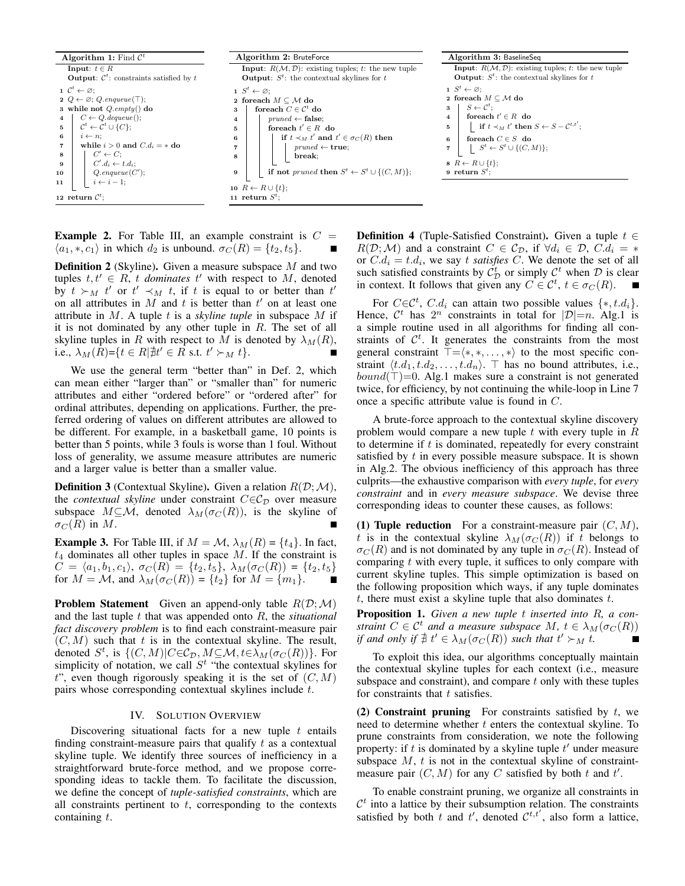

**Example 2.** For Table III, an example constraint is  $C =$  $\langle a_1, \ast, c_1 \rangle$  in which  $d_2$  is unbound.  $\sigma_C(R) = \{t_2, t_5\}.$ 

**Definition 2** (Skyline)**.** Given a measure subspace M and two tuples  $t, t' \in R$ , t *dominates*  $t'$  with respect to M, denoted by  $t > M$  t' or  $t' \prec_M t$ , if t is equal to or better than t' on all attributes in  $M$  and  $t$  is better than  $t'$  on at least one attribute in M. A tuple t is a *skyline tuple* in subspace M if it is not dominated by any other tuple in  $R$ . The set of all skyline tuples in R with respect to M is denoted by  $\lambda_M(R)$ , i.e.,  $\lambda_M(R)=\{t\in R|\nexists t'\in R \text{ s.t. } t'\succ_M t\}.$ 

We use the general term "better than" in Def. 2, which can mean either "larger than" or "smaller than" for numeric attributes and either "ordered before" or "ordered after" for ordinal attributes, depending on applications. Further, the preferred ordering of values on different attributes are allowed to be different. For example, in a basketball game, 10 points is better than 5 points, while 3 fouls is worse than 1 foul. Without loss of generality, we assume measure attributes are numeric and a larger value is better than a smaller value.

**Definition 3** (Contextual Skyline). Given a relation  $R(\mathcal{D}; \mathcal{M})$ , the *contextual skyline* under constraint  $C \in \mathcal{C}_{\mathcal{D}}$  over measure subspace  $M\subseteq \mathcal{M}$ , denoted  $\lambda_M(\sigma_C(R))$ , is the skyline of  $\sigma_C(R)$  in M.

**Example 3.** For Table III, if  $M = \mathcal{M}$ ,  $\lambda_M(R) = \{t_4\}$ . In fact,  $t_4$  dominates all other tuples in space M. If the constraint is  $C = \langle a_1, b_1, c_1 \rangle, \sigma_C (R) = \{t_2, t_5\}, \lambda_M(\sigma_C (R)) = \{t_2, t_5\}$ for  $M = \mathcal{M}$ , and  $\lambda_M(\sigma_C(R)) = \{t_2\}$  for  $M = \{m_1\}.$ 

**Problem Statement** Given an append-only table  $R(D;M)$ and the last tuple t that was appended onto R, the *situational fact discovery problem* is to find each constraint-measure pair  $(C, M)$  such that t is in the contextual skyline. The result, denoted  $S^t$ , is  $\{(C,M)|C \in \mathcal{C}_{\mathcal{D}}, M \subseteq \mathcal{M}, t \in \lambda_M(\sigma_C(R))\}$ . For simplicity of notation, we call  $S<sup>t</sup>$  "the contextual skylines for t", even though rigorously speaking it is the set of  $(C, M)$ pairs whose corresponding contextual skylines include t.

## IV. SOLUTION OVERVIEW

Discovering situational facts for a new tuple  $t$  entails finding constraint-measure pairs that qualify  $t$  as a contextual skyline tuple. We identify three sources of inefficiency in a straightforward brute-force method, and we propose corresponding ideas to tackle them. To facilitate the discussion, we define the concept of *tuple-satisfied constraints*, which are all constraints pertinent to  $t$ , corresponding to the contexts containing  $t$ .

**Definition 4** (Tuple-Satisfied Constraint). Given a tuple  $t \in$  $R(\mathcal{D};\mathcal{M})$  and a constraint  $C \in \mathcal{C}_{\mathcal{D}}$ , if  $\forall d_i \in \mathcal{D}$ ,  $C.d_i = *$ or  $C.d_i = t.d_i$ , we say t *satisfies* C. We denote the set of all such satisfied constraints by  $\mathcal{C}_{\mathcal{D}}^t$  or simply  $\mathcal{C}^t$  when  $\mathcal D$  is clear in context. It follows that given any  $C \in \mathcal{C}^t$ ,  $t \in \sigma_C(R)$ .

For  $C \in \mathcal{C}^t$ ,  $C.d_i$  can attain two possible values  $\{*, t.d_i\}$ . Hence,  $\mathcal{C}^t$  has  $2^n$  constraints in total for  $|\mathcal{D}|=n$ . Alg.1 is a simple routine used in all algorithms for finding all constraints of  $\mathcal{C}^t$ . It generates the constraints from the most general constraint  $\top = \langle *, *, \ldots, * \rangle$  to the most specific constraint  $\langle t.d_1, t.d_2, \ldots, t.d_n \rangle$ . ⊤ has no bound attributes, i.e.,  $bound(⊓)=0.$  Alg.1 makes sure a constraint is not generated twice, for efficiency, by not continuing the while-loop in Line 7 once a specific attribute value is found in C.

A brute-force approach to the contextual skyline discovery problem would compare a new tuple  $t$  with every tuple in  $\tilde{R}$ to determine if  $t$  is dominated, repeatedly for every constraint satisfied by t in every possible measure subspace. It is shown in Alg.2. The obvious inefficiency of this approach has three culprits—the exhaustive comparison with *every tuple*, for *every constraint* and in *every measure subspace*. We devise three corresponding ideas to counter these causes, as follows:

**(1) Tuple reduction** For a constraint-measure pair (C, M), t is in the contextual skyline  $\lambda_M(\sigma_C(R))$  if t belongs to  $\sigma_C(R)$  and is not dominated by any tuple in  $\sigma_C(R)$ . Instead of comparing  $t$  with every tuple, it suffices to only compare with current skyline tuples. This simple optimization is based on the following proposition which ways, if any tuple dominates t, there must exist a skyline tuple that also dominates  $t$ .

**Proposition 1.** *Given a new tuple* t *inserted into* R*, a constraint*  $C \in \mathcal{C}^t$  *and a measure subspace*  $M, t \in \lambda_M(\sigma_C(R))$ *if and only if*  $\sharp$   $t' \in \lambda_M(\sigma_C(R))$  *such that*  $t' \succ_M t$ *.* 

To exploit this idea, our algorithms conceptually maintain the contextual skyline tuples for each context (i.e., measure subspace and constraint), and compare  $t$  only with these tuples for constraints that  $t$  satisfies.

**(2) Constraint pruning** For constraints satisfied by t, we need to determine whether  $t$  enters the contextual skyline. To prune constraints from consideration, we note the following property: if  $t$  is dominated by a skyline tuple  $t'$  under measure subspace  $M$ ,  $t$  is not in the contextual skyline of constraintmeasure pair  $(C, M)$  for any C satisfied by both t and t'.

To enable constraint pruning, we organize all constraints in  $\mathcal{C}^t$  into a lattice by their subsumption relation. The constraints satisfied by both t and t', denoted  $\mathcal{C}^{t,t'}$ , also form a lattice,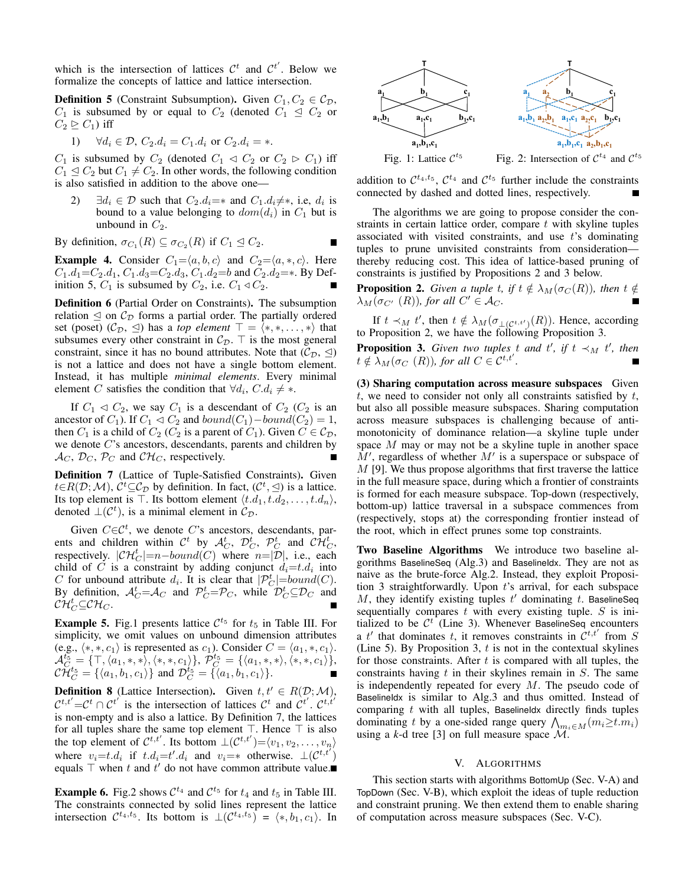which is the intersection of lattices  $\mathcal{C}^t$  and  $\mathcal{C}^{t'}$ . Below we formalize the concepts of lattice and lattice intersection.

**Definition 5** (Constraint Subsumption). Given  $C_1, C_2 \in \mathcal{C}_{\mathcal{D}}$ ,  $C_1$  is subsumed by or equal to  $C_2$  (denoted  $C_1 \trianglelefteq C_2$  or  $C_2 \trianglerighteq C_1$ ) iff

1)  $\forall d_i \in \mathcal{D}, C_2.d_i = C_1.d_i \text{ or } C_2.d_i = *$ .

 $C_1$  is subsumed by  $C_2$  (denoted  $C_1 \triangleleft C_2$  or  $C_2 \triangleright C_1$ ) iff  $C_1 \leq C_2$  but  $C_1 \neq C_2$ . In other words, the following condition is also satisfied in addition to the above one—

2)  $\exists d_i \in \mathcal{D}$  such that  $C_2.d_i = \text{ and } C_1.d_i \neq \text{*, i.e., } d_i$  is bound to a value belonging to  $dom(d_i)$  in  $C_1$  but is unbound in  $C_2$ .

By definition,  $\sigma_{C_1}(R) \subseteq \sigma_{C_2}(R)$  if  $C_1 \trianglelefteq C_2$ .

**Example 4.** Consider  $C_1 = \langle a, b, c \rangle$  and  $C_2 = \langle a, *, c \rangle$ . Here  $C_1.d_1=C_2.d_1$ ,  $C_1.d_3=C_2.d_3$ ,  $C_1.d_2=b$  and  $C_2.d_2=$ ∗. By Definition 5,  $C_1$  is subsumed by  $C_2$ , i.e.  $C_1 \triangleleft C_2$ .

**Definition 6** (Partial Order on Constraints)**.** The subsumption relation  $\leq$  on  $\mathcal{C}_{\mathcal{D}}$  forms a partial order. The partially ordered set (poset) ( $\mathcal{C}_{\mathcal{D}}$ ,  $\trianglelefteq$ ) has a *top element*  $\top = \langle *, *, \ldots, * \rangle$  that subsumes every other constraint in  $C_{\mathcal{D}}$ . ⊤ is the most general constraint, since it has no bound attributes. Note that  $(\mathcal{C}_{\mathcal{D}}, \leq)$ is not a lattice and does not have a single bottom element. Instead, it has multiple *minimal elements*. Every minimal element C satisfies the condition that  $\forall d_i, C.d_i \neq *$ .

If  $C_1 \triangleleft C_2$ , we say  $C_1$  is a descendant of  $C_2$  ( $C_2$  is an ancestor of  $C_1$ ). If  $C_1 \triangleleft C_2$  and  $bound(C_1)-bound(C_2)=1$ , then  $C_1$  is a child of  $C_2$  ( $C_2$  is a parent of  $C_1$ ). Given  $C \in C_{\mathcal{D}}$ , we denote C's ancestors, descendants, parents and children by  $\mathcal{A}_C$ ,  $\mathcal{D}_C$ ,  $\mathcal{P}_C$  and  $\mathcal{CH}_C$ , respectively.

**Definition 7** (Lattice of Tuple-Satisfied Constraints)**.** Given  $t \in R(D; \mathcal{M})$ ,  $C^t \subseteq C_{\mathcal{D}}$  by definition. In fact,  $(C^t, \leq)$  is a lattice. Its top element is ⊤. Its bottom element  $\langle t.d_1, t.d_2, \ldots, t.d_n \rangle$ , denoted  $\bot(\mathcal{C}^t)$ , is a minimal element in  $\mathcal{C}_{\mathcal{D}}$ .

Given  $C \in \mathcal{C}^t$ , we denote C's ancestors, descendants, parents and children within  $\mathcal{C}^t$  by  $\mathcal{A}_{C}^t$ ,  $\mathcal{D}_{C}^t$ ,  $\mathcal{P}_{C}^t$  and  $\mathcal{CH}_{C}^t$ , respectively.  $| \mathcal{CH}_C^t | = n - bound(C)$  where  $n = |\mathcal{D}|$ , i.e., each child of C is a constraint by adding conjunct  $d_i = t \cdot d_i$  into C for unbound attribute  $d_i$ . It is clear that  $|\mathcal{P}_C^t| = bound(C)$ . By definition,  $\mathcal{A}_C^t = \mathcal{A}_C$  and  $\mathcal{P}_C^t = \mathcal{P}_C$ , while  $\mathcal{D}_C^t \subseteq \mathcal{D}_C$  and  $\check{\mathcal{C}}\mathcal{H}_C^t$ c $\mathcal{C}\mathcal{H}_C.$ 

**Example 5.** Fig.1 presents lattice  $\mathcal{C}^{t_5}$  for  $t_5$  in Table III. For simplicity, we omit values on unbound dimension attributes (e.g.,  $\langle *, *, c_1 \rangle$  is represented as c<sub>1</sub>). Consider  $C = \langle a_1, *, c_1 \rangle$ .  $\mathcal{A}_{C}^{t_{5}} = \{\top,\langle a_{1}, \ast, \ast \rangle, \langle \ast, \ast, c_{1} \rangle\}, \, \mathcal{\bar{P}}_{C}^{t_{5}} = \{\langle a_{1}, \ast, \ast \rangle, \langle \ast, \ast, c_{1} \rangle\},$  $\mathcal{CH}_C^{t_5} = {\langle \langle a_1, b_1, c_1 \rangle \}$  and  $\mathcal{D}_C^{t_5} = {\langle \langle a_1, b_1, c_1 \rangle \}$ .

**Definition 8** (Lattice Intersection). Given  $t, t' \in R(\mathcal{D}; \mathcal{M})$ ,  $\mathcal{C}^{t,t'} = \mathcal{C}^t \cap \mathcal{C}^{t'}$  is the intersection of lattices  $\mathcal{C}^t$  and  $\mathcal{C}^{t'}$ .  $\mathcal{C}^{t,t'}$ is non-empty and is also a lattice. By Definition 7, the lattices for all tuples share the same top element ⊤. Hence ⊤ is also the top element of  $\mathcal{C}^{t,t'}$ . Its bottom  $\bot(\mathcal{C}^{t,t'}) = \langle v_1, v_2, \ldots, v_n \rangle$ where  $v_i = t.d_i$  if  $t.d_i = t'.d_i$  and  $v_i = \star$  otherwise.  $\perp (C^{t,i'})$ equals  $\top$  when t and t' do not have common attribute value.

**Example 6.** Fig.2 shows  $\mathcal{C}^{t_4}$  and  $\mathcal{C}^{t_5}$  for  $t_4$  and  $t_5$  in Table III. The constraints connected by solid lines represent the lattice intersection  $C^{t_4,t_5}$ . Its bottom is  $\perp (C^{t_4,t_5}) = \langle *, b_1, c_1 \rangle$ . In



addition to  $\mathcal{C}^{t_4,t_5}$ ,  $\mathcal{C}^{t_4}$  and  $\mathcal{C}^{t_5}$  further include the constraints connected by dashed and dotted lines, respectively.

The algorithms we are going to propose consider the constraints in certain lattice order, compare  $t$  with skyline tuples associated with visited constraints, and use  $t$ 's dominating tuples to prune unvisited constraints from consideration thereby reducing cost. This idea of lattice-based pruning of constraints is justified by Propositions 2 and 3 below.

**Proposition 2.** *Given a tuple t, if*  $t \notin \lambda_M(\sigma_C(R))$ *, then*  $t \notin$  $\lambda_M(\sigma_{C'}(R))$ *, for all*  $C' \in \mathcal{A}_C$ *.* 

If  $t \prec_M t'$ , then  $t \notin \lambda_M(\sigma_{\perp(\mathcal{C}^{t,t'})}(R))$ . Hence, according to Proposition 2, we have the following Proposition 3.

**Proposition 3.** *Given two tuples* t and t', if  $t \prec_M t'$ , then  $t \notin \lambda_M(\sigma_C(R))$ *, for all*  $C \in \mathcal{C}^{t,t'}$ *.* 

**(3) Sharing computation across measure subspaces** Given  $t$ , we need to consider not only all constraints satisfied by  $t$ , but also all possible measure subspaces. Sharing computation across measure subspaces is challenging because of antimonotonicity of dominance relation—a skyline tuple under space M may or may not be a skyline tuple in another space  $\overline{M}'$ , regardless of whether  $M'$  is a superspace or subspace of M [9]. We thus propose algorithms that first traverse the lattice in the full measure space, during which a frontier of constraints is formed for each measure subspace. Top-down (respectively, bottom-up) lattice traversal in a subspace commences from (respectively, stops at) the corresponding frontier instead of the root, which in effect prunes some top constraints.

**Two Baseline Algorithms** We introduce two baseline algorithms BaselineSeq (Alg.3) and BaselineIdx. They are not as naive as the brute-force Alg.2. Instead, they exploit Proposition 3 straightforwardly. Upon t's arrival, for each subspace  $M$ , they identify existing tuples  $t'$  dominating  $t$ . BaselineSeq sequentially compares  $t$  with every existing tuple.  $S$  is initialized to be  $\mathcal{C}^t$  (Line 3). Whenever BaselineSeq encounters a t' that dominates t, it removes constraints in  $\mathcal{C}^{t,t'}$  from S (Line 5). By Proposition 3,  $t$  is not in the contextual skylines for those constraints. After  $t$  is compared with all tuples, the constraints having  $t$  in their skylines remain in  $S$ . The same is independently repeated for every M. The pseudo code of Baselineldx is similar to Alg.3 and thus omitted. Instead of comparing  $t$  with all tuples, Baselineldx directly finds tuples dominating t by a one-sided range query  $\bigwedge_{m_i \in M} (m_i \geq t.m_i)$ using a *k*-d tree [3] on full measure space M.

## V. ALGORITHMS

This section starts with algorithms BottomUp (Sec. V-A) and TopDown (Sec. V-B), which exploit the ideas of tuple reduction and constraint pruning. We then extend them to enable sharing of computation across measure subspaces (Sec. V-C).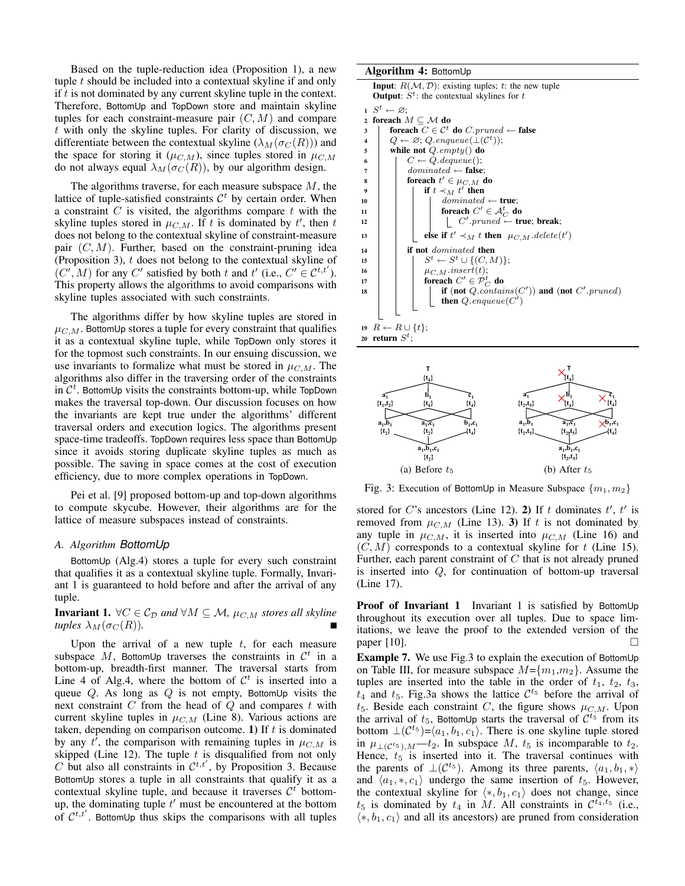Based on the tuple-reduction idea (Proposition 1), a new tuple t should be included into a contextual skyline if and only if  $t$  is not dominated by any current skyline tuple in the context. Therefore, BottomUp and TopDown store and maintain skyline tuples for each constraint-measure pair  $(C, M)$  and compare  $t$  with only the skyline tuples. For clarity of discussion, we differentiate between the contextual skyline  $(\lambda_M(\sigma_C(R)))$  and the space for storing it  $(\mu_{C,M})$ , since tuples stored in  $\mu_{C,M}$ do not always equal  $\lambda_M(\sigma_C(R))$ , by our algorithm design.

The algorithms traverse, for each measure subspace  $M$ , the lattice of tuple-satisfied constraints  $\mathcal{C}^t$  by certain order. When a constraint  $C$  is visited, the algorithms compare  $t$  with the skyline tuples stored in  $\mu_{C,M}$ . If t is dominated by t', then t does not belong to the contextual skyline of constraint-measure pair  $(C, M)$ . Further, based on the constraint-pruning idea (Proposition 3),  $t$  does not belong to the contextual skyline of  $(C', M)$  for any C' satisfied by both t and t' (i.e.,  $C' \in C^{t,t'}$ ). This property allows the algorithms to avoid comparisons with skyline tuples associated with such constraints.

The algorithms differ by how skyline tuples are stored in  $\mu_{C,M}$ . BottomUp stores a tuple for every constraint that qualifies it as a contextual skyline tuple, while TopDown only stores it for the topmost such constraints. In our ensuing discussion, we use invariants to formalize what must be stored in  $\mu_{C,M}$ . The algorithms also differ in the traversing order of the constraints in  $\mathcal{C}^t$ . BottomUp visits the constraints bottom-up, while TopDown makes the traversal top-down. Our discussion focuses on how the invariants are kept true under the algorithms' different traversal orders and execution logics. The algorithms present space-time tradeoffs. TopDown requires less space than BottomUp since it avoids storing duplicate skyline tuples as much as possible. The saving in space comes at the cost of execution efficiency, due to more complex operations in TopDown.

Pei et al. [9] proposed bottom-up and top-down algorithms to compute skycube. However, their algorithms are for the lattice of measure subspaces instead of constraints.

# *A. Algorithm* BottomUp

BottomUp (Alg.4) stores a tuple for every such constraint that qualifies it as a contextual skyline tuple. Formally, Invariant 1 is guaranteed to hold before and after the arrival of any tuple.

**Invariant 1.**  $\forall C \in C_{\mathcal{D}}$  and  $\forall M \subseteq \mathcal{M}$ ,  $\mu_{C,M}$  stores all skyline *tuples*  $\lambda_M(\sigma_C(R))$ .

Upon the arrival of a new tuple  $t$ , for each measure subspace M, BottomUp traverses the constraints in  $\mathcal{C}^t$  in a bottom-up, breadth-first manner. The traversal starts from Line 4 of Alg.4, where the bottom of  $\mathcal{C}^t$  is inserted into a queue  $Q$ . As long as  $Q$  is not empty, BottomUp visits the next constraint  $C$  from the head of  $Q$  and compares  $t$  with current skyline tuples in  $\mu_{C,M}$  (Line 8). Various actions are taken, depending on comparison outcome. **1**) If  $t$  is dominated by any  $t^{\prime}$ , the comparison with remaining tuples in  $\mu_{C,M}$  is skipped (Line 12). The tuple  $t$  is disqualified from not only C but also all constraints in  $\mathcal{C}^{t,t'}$ , by Proposition 3. Because BottomUp stores a tuple in all constraints that qualify it as a contextual skyline tuple, and because it traverses  $\mathcal{C}^t$  bottomup, the dominating tuple  $t'$  must be encountered at the bottom of  $\mathcal{C}^{t,t'}$ . BottomUp thus skips the comparisons with all tuples

## **Algorithm 4:** BottomUp

```
Input: R(M, D): existing tuples; t: the new tuple
    Output: S<sup>t</sup>: the contextual skylines for t
 1 \quad S^t \leftarrow \varnothing;2 foreach M ⊆ M do
3 foreach C \in \mathcal{C}^t do C.\text{pruned} \leftarrow \text{false}\begin{array}{c|c} \hline \text{4} & Q \leftarrow \varnothing; Q.\text{endueue}(\mathcal{L}^{t}); \end{array}5 while not Q.empty() do
6 \qquad \qquad \begin{array}{c} \mid \\ \mid \\ \mid \\ \end{array} C \leftarrow Q. dequeue();
7 dominated \leftarrow false;
 8 foreach t' \in \mu_{C,M} do
 9 if t \prec_M t' then
10 dominated ← true;
11 foreach C' \in A_C^t do<br>12 c C'. pruned \leftarrow true; break;
13 else if t' \prec_M t then \mu_{C,M}. delete(t')
14 if not dominated then
15 S
                      t \leftarrow S^t \cup \{(C, M)\};16 \mu_{C,M}.insert(t);<br>foreach C' \in \mathcal{P}_c^t17 foreach C' \in \mathcal{P}_C^t do
18 i if (not Q, contains(C')) and (not C', pruned)
                          then Q enqueue(C')19 R \leftarrow R \cup \{t\};
```




Fig. 3: Execution of BottomUp in Measure Subspace  $\{m_1, m_2\}$ 

stored for C's ancestors (Line 12). 2) If t dominates  $t'$ ,  $t'$  is removed from  $\mu_{C,M}$  (Line 13). **3)** If t is not dominated by any tuple in  $\mu_{C,M}$ , it is inserted into  $\mu_{C,M}$  (Line 16) and  $(C, M)$  corresponds to a contextual skyline for t (Line 15). Further, each parent constraint of  $C$  that is not already pruned is inserted into Q, for continuation of bottom-up traversal (Line 17).

**Proof of Invariant 1** Invariant 1 is satisfied by BottomUp throughout its execution over all tuples. Due to space limitations, we leave the proof to the extended version of the paper [10].

**Example 7.** We use Fig.3 to explain the execution of BottomUp on Table III, for measure subspace  $M = \{m_1, m_2\}$ . Assume the tuples are inserted into the table in the order of  $t_1$ ,  $t_2$ ,  $t_3$ ,  $t_4$  and  $t_5$ . Fig.3a shows the lattice  $\mathcal{C}^{t_5}$  before the arrival of  $t_5$ . Beside each constraint C, the figure shows  $\mu_{C,M}$ . Upon the arrival of  $t_5$ , BottomUp starts the traversal of  $\mathcal{C}^{t_5}$  from its bottom  $\perp (C^{t_5}) = \langle a_1, b_1, c_1 \rangle$ . There is one skyline tuple stored in  $\mu_{\perp}$ ( $c^{t_5}$ ), $M$ — $t_2$ . In subspace M,  $t_5$  is incomparable to  $t_2$ . Hence,  $t_5$  is inserted into it. The traversal continues with the parents of  $\perp (\mathcal{C}^{t_5})$ . Among its three parents,  $\langle a_1, b_1, * \rangle$ and  $\langle a_1, *, c_1 \rangle$  undergo the same insertion of  $t_5$ . However, the contextual skyline for  $\langle *, b_1, c_1 \rangle$  does not change, since  $t_5$  is dominated by  $t_4$  in M. All constraints in  $\mathcal{C}^{t_4,t_5}$  (i.e.,  $\langle *, b_1, c_1 \rangle$  and all its ancestors) are pruned from consideration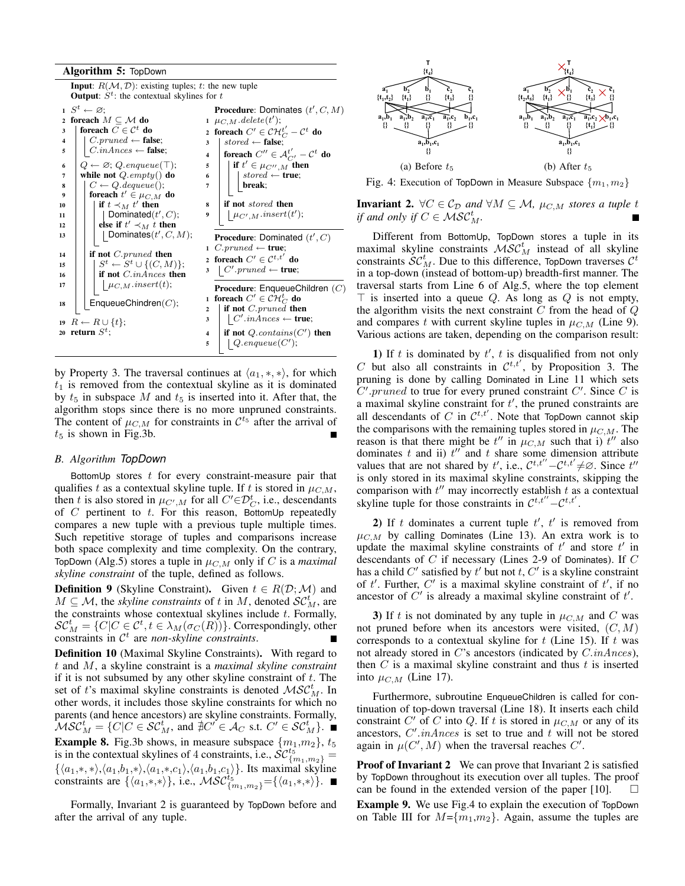## **Algorithm 5:** TopDown

**Input**:  $R(M, D)$ : existing tuples; t: the new tuple **Output**:  $S<sup>t</sup>$ : the contextual skylines for t

|                         | $1 S^t \leftarrow \varnothing$ :            |                         | <b>Procedure:</b> Dominates $(t', C, M)$                                                                           |
|-------------------------|---------------------------------------------|-------------------------|--------------------------------------------------------------------------------------------------------------------|
| $\overline{2}$          | foreach $M \subseteq \mathcal{M}$ do        |                         | $1 \mu_{C,M}.delete(t');$                                                                                          |
| 3                       | foreach $C \in \mathcal{C}^t$ do            |                         | 2 foreach $C' \in \mathcal{CH}_{C}^{t'} - \mathcal{C}^t$ do                                                        |
| $\overline{\mathbf{4}}$ | $C.\text{pruned} \leftarrow \text{false};$  | 3                       | stored $\leftarrow$ false:                                                                                         |
| 5                       | $C.inAnces \leftarrow false;$               | $\overline{\mathbf{4}}$ | foreach $C'' \in \mathcal{A}_{C'}^{t'} - C^t$ do                                                                   |
| 6                       | $Q \leftarrow \varnothing$ ; Q. enqueue(T); | 5                       | if $t' \in \mu_{C'',M}$ then                                                                                       |
| 7                       | while not $Q.\text{empty}()$ do             | 6                       | stored $\leftarrow$ true;                                                                                          |
| 8                       | $C \leftarrow Q$ . dequeue();               | 7                       | break:                                                                                                             |
| 9                       | foreach $t' \in \mu_{C,M}$ do               |                         |                                                                                                                    |
| 10                      | if $t \prec_M t'$ then                      | 8                       | if not <i>stored</i> then                                                                                          |
| 11                      | Dominated $(t', C)$ ;                       | 9                       | $\mu_{C',M}.insert(t');$                                                                                           |
| 12                      | else if $t' \prec_M t$ then                 |                         |                                                                                                                    |
| 13                      | Dominates $(t', C, M)$ ;                    |                         | <b>Procedure:</b> Dominated $(t', C)$                                                                              |
|                         |                                             |                         | 1 <i>C.pruned</i> $\leftarrow$ true;                                                                               |
| 14                      | if not $C.\text{pruned}$ then               |                         | 2 foreach $C' \in \mathcal{C}^{t,t'}$ do                                                                           |
| 15                      | $S^t \leftarrow S^t \cup \{(C, M)\};$       |                         | $3 \mid C'.pruned \leftarrow true;$                                                                                |
| 16                      | if not $C.inAnces$ then                     |                         |                                                                                                                    |
| 17                      | $\mid \mu_{C,M}.insert(t);$                 |                         | <b>Procedure:</b> EnqueueChildren $(C)$                                                                            |
| 18                      | EnqueueChindren $(C)$ ;                     | $\mathbf{2}$<br>3       | 1 foreach $C' \in \mathcal{CH}_{C'}^{t}$ do<br>if not $C.\text{pruned}$ then<br>$\mid C'.inAnces \leftarrow true;$ |
|                         | 19 $R \leftarrow R \cup \{t\};$             |                         |                                                                                                                    |
|                         | 20 return $S^t$ ;                           |                         | if not $Q.\text{contains}(C')$ then                                                                                |
|                         |                                             | 5                       | $  Q.\nend{equation}$                                                                                              |

by Property 3. The traversal continues at  $\langle a_1, *, * \rangle$ , for which  $t_1$  is removed from the contextual skyline as it is dominated by  $t_5$  in subspace M and  $t_5$  is inserted into it. After that, the algorithm stops since there is no more unpruned constraints. The content of  $\mu_{C,M}$  for constraints in  $\mathcal{C}^{t_5}$  after the arrival of  $t_5$  is shown in Fig.3b.

# *B. Algorithm* TopDown

BottomUp stores  $t$  for every constraint-measure pair that qualifies t as a contextual skyline tuple. If t is stored in  $\mu_{C,M}$ , then t is also stored in  $\mu_{C',M}$  for all  $C' \in \mathcal{D}_{C'}^t$ , i.e., descendants of  $C$  pertinent to  $t$ . For this reason, BottomUp repeatedly compares a new tuple with a previous tuple multiple times. Such repetitive storage of tuples and comparisons increase both space complexity and time complexity. On the contrary, TopDown (Alg.5) stores a tuple in  $\mu_{C,M}$  only if C is a *maximal skyline constraint* of the tuple, defined as follows.

**Definition 9** (Skyline Constraint). Given  $t \in R(\mathcal{D}; \mathcal{M})$  and  $M \subseteq \mathcal{M}$ , the *skyline constraints* of t in M, denoted  $SC_M^t$ , are the constraints whose contextual skylines include  $t$ . Formally,  $\mathcal{SC}_M^t = \{C | C \in \mathcal{C}^t, t \in \lambda_M(\sigma_C(R))\}$ . Correspondingly, other constraints in  $\mathcal{C}^t$  are *non-skyline constraints*.

**Definition 10** (Maximal Skyline Constraints)**.** With regard to t and M, a skyline constraint is a *maximal skyline constraint* if it is not subsumed by any other skyline constraint of  $t$ . The set of t's maximal skyline constraints is denoted  $MSC_M^t$ . In other words, it includes those skyline constraints for which no parents (and hence ancestors) are skyline constraints. Formally,  $\mathcal{MSC}_{M}^{t} = \{ C | C \in \mathcal{SC}_{M}^{t}, \text{ and } \nexists C' \in \mathcal{A}_{C} \text{ s.t. } C' \in \mathcal{SC}_{M}^{t} \}.$ **Example 8.** Fig.3b shows, in measure subspace  $\{m_1,m_2\}$ ,  $t_5$ is in the contextual skylines of 4 constraints, i.e.,  $\mathcal{SC}_{\{m_1,m_2\}}^{t_5} =$  $\{\langle a_1, *, *, \rangle, \langle a_1, b_1, *, \rangle, \langle a_1, *, c_1 \rangle, \langle a_1, b_1, c_1 \rangle\}.$  Its maximal skyline constraints are  $\{\langle a_1, *, * \rangle\}$ , i.e.,  $\widehat{\text{MSC}}_{\{m_1, m_2\}}^{t_5} = \{\langle a_1, *, * \rangle\}.$ 

Formally, Invariant 2 is guaranteed by TopDown before and after the arrival of any tuple.



Fig. 4: Execution of TopDown in Measure Subspace  $\{m_1, m_2\}$ 

**Invariant 2.**  $\forall C \in \mathcal{C}_{\mathcal{D}}$  *and*  $\forall M \subseteq \mathcal{M}$ *,*  $\mu_{C,M}$  *stores a tuple t if and only if*  $C \in \mathcal{MSC}_{M}^{t}$ .

Different from BottomUp, TopDown stores a tuple in its maximal skyline constraints  $\mathcal{MSC}^t_M$  instead of all skyline constraints  $\mathcal{SC}_M^t$ . Due to this difference, TopDown traverses  $\mathcal{C}^t$ in a top-down (instead of bottom-up) breadth-first manner. The traversal starts from Line 6 of Alg.5, where the top element  $\top$  is inserted into a queue Q. As long as Q is not empty, the algorithm visits the next constraint  $C$  from the head of  $Q$ and compares t with current skyline tuples in  $\mu_{C,M}$  (Line 9). Various actions are taken, depending on the comparison result:

1) If  $t$  is dominated by  $t'$ ,  $t$  is disqualified from not only C but also all constraints in  $\mathcal{C}^{t,t'}$ , by Proposition 3. The pruning is done by calling Dominated in Line 11 which sets  $C'.pruned$  to true for every pruned constraint  $C'.$  Since  $C$  is a maximal skyline constraint for  $t'$ , the pruned constraints are all descendants of C in  $\mathcal{C}^{t,t'}$ . Note that TopDown cannot skip the comparisons with the remaining tuples stored in  $\mu_{C,M}$ . The reason is that there might be  $t''$  in  $\mu_{C,M}$  such that i)  $t''$  also dominates t and ii)  $t''$  and t share some dimension attribute values that are not shared by  $t'$ , i.e.,  $C^{t,t''} - C^{t,t'} \neq \emptyset$ . Since  $t''$ is only stored in its maximal skyline constraints, skipping the comparison with  $t''$  may incorrectly establish  $t$  as a contextual skyline tuple for those constraints in  $\mathcal{C}^{t,t''} - \mathcal{C}^{t,t'}$ .

2) If  $t$  dominates a current tuple  $t'$ ,  $t'$  is removed from  $\mu_{C,M}$  by calling Dominates (Line 13). An extra work is to update the maximal skyline constraints of  $t'$  and store  $t'$  in descendants of C if necessary (Lines 2-9 of Dominates). If C has a child  $C'$  satisfied by  $t'$  but not  $t, C'$  is a skyline constraint of  $t'$ . Further,  $C'$  is a maximal skyline constraint of  $t'$ , if no ancestor of  $C'$  is already a maximal skyline constraint of  $t'$ .

**3)** If t is not dominated by any tuple in  $\mu_{C,M}$  and C was not pruned before when its ancestors were visited,  $(C, M)$ corresponds to a contextual skyline for  $t$  (Line 15). If  $t$  was not already stored in C's ancestors (indicated by C.inAnces), then  $C$  is a maximal skyline constraint and thus  $t$  is inserted into  $\mu_{C,M}$  (Line 17).

Furthermore, subroutine EnqueueChildren is called for continuation of top-down traversal (Line 18). It inserts each child constraint C' of C into Q. If t is stored in  $\mu_{C,M}$  or any of its ancestors,  $C'.inAnces$  is set to true and t will not be stored again in  $\mu(C', M)$  when the traversal reaches  $C'$ .

**Proof of Invariant 2** We can prove that Invariant 2 is satisfied by TopDown throughout its execution over all tuples. The proof can be found in the extended version of the paper [10].

**Example 9.** We use Fig.4 to explain the execution of TopDown on Table III for  $M = \{m_1, m_2\}$ . Again, assume the tuples are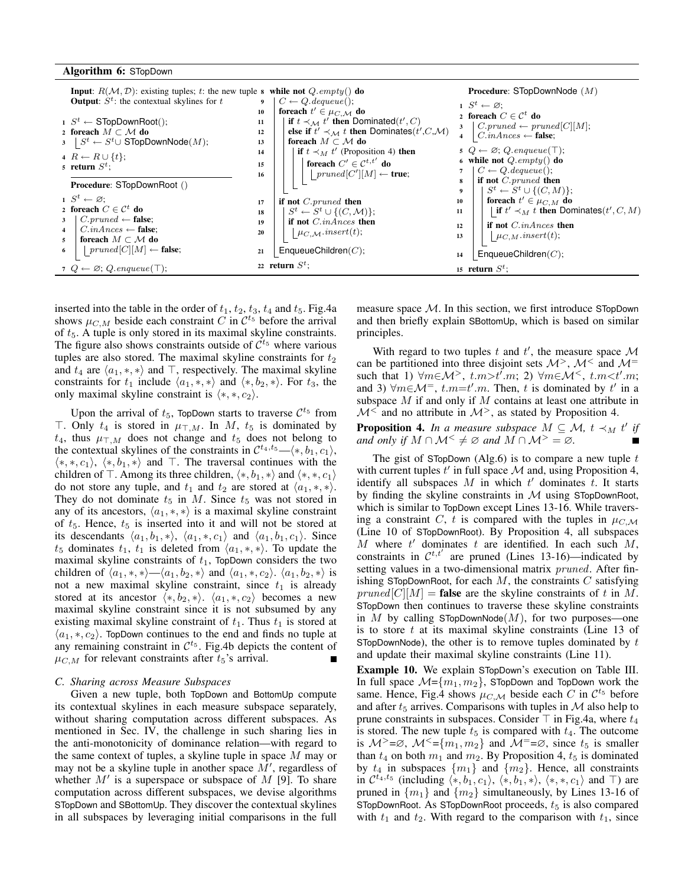| <b>Input:</b> $R(\mathcal{M}, \mathcal{D})$ : existing tuples; t: the new tuple <b>s</b> while not $Q$ . <i>empty</i> () do |                                                            | Procedure: STopDownNode (M)                               |
|-----------------------------------------------------------------------------------------------------------------------------|------------------------------------------------------------|-----------------------------------------------------------|
| <b>Output:</b> $S^t$ : the contextual skylines for t                                                                        | $C \leftarrow Q$ . dequeue();<br>9                         | $1 S^t \leftarrow \varnothing$ :                          |
|                                                                                                                             | foreach $t' \in \mu_{C,\mathcal{M}}$ do<br>10              | 2 foreach $C \in \mathcal{C}^t$ do                        |
| $1 S^t \leftarrow$ STopDownRoot();                                                                                          | if $t \prec_M t'$ then Dominated( $t', C$ )<br>11          | $C.\text{pruned} \leftarrow \text{pruned}[C][M];$         |
| 2 foreach $M \subset \mathcal{M}$ do                                                                                        | else if $t' \prec_M t$ then Dominates( $t', C, M$ )<br>12  | $C.inAnces \leftarrow false;$                             |
| $3 \mid S^t \leftarrow S^t \cup$ STopDownNode(M);                                                                           | foreach $M \subset \mathcal{M}$ do<br>13                   |                                                           |
|                                                                                                                             | <b>if</b> $t \prec_M t'$ (Proposition 4) <b>then</b><br>14 | $\sigma \colon Q \leftarrow \varnothing$ ; Q.enqueue(T);  |
| 4 $R \leftarrow R \cup \{t\};$                                                                                              | foreach $C' \in \mathcal{C}^{t,t'}$ do<br>15               | 6 while not $Q. \epsilon m p t y()$ do                    |
| 5 return $S^t$ :                                                                                                            | $pruned[C'][M] \leftarrow true;$<br>16                     | $C \leftarrow Q$ . dequeue();                             |
| Procedure: STopDownRoot ()                                                                                                  |                                                            | if not $C.\text{pruned}$ then                             |
|                                                                                                                             |                                                            | $S^t \leftarrow S^t \cup \{(C, M)\};$<br>$\boldsymbol{9}$ |
| $1 S^t \leftarrow \varnothing$ :                                                                                            | if not $C.\text{pruned}$ then<br>17                        | foreach $t' \in \mu_{C,M}$ do<br>10                       |
| 2 foreach $C \in \mathcal{C}^t$ do                                                                                          | $S^t \leftarrow S^t \cup \{(C, \mathcal{M})\};$<br>18      | if $t' \prec_M t$ then Dominates $(t', C, M)$<br>11       |
| $C.\text{pruned} \leftarrow \text{false};$                                                                                  | if not $C.inAnces$ then<br>19                              | if not $C.inAnces$ then                                   |
| $C.inAnces \leftarrow false$                                                                                                | $\mu_{C,\mathcal{M}}$ .insert $(t)$ ;<br>20                | 12                                                        |
| foreach $M \subset \mathcal{M}$ do                                                                                          |                                                            | $\mu_{C,M}.insert(t);$<br>13                              |
| $pruned[C][M] \leftarrow false;$<br>6                                                                                       | EnqueueChildren $(C)$ ;<br>21                              | EnqueueChildren $(C)$ ;<br>14                             |
| 7 $Q \leftarrow \varnothing$ ; Q.enqueue(T);                                                                                | 22 return $S^t$ ;                                          | 15 return $S^t$ ;                                         |

inserted into the table in the order of  $t_1$ ,  $t_2$ ,  $t_3$ ,  $t_4$  and  $t_5$ . Fig.4a shows  $\mu_{C,M}$  beside each constraint C in  $\mathcal{C}^{t_5}$  before the arrival of  $t_5$ . A tuple is only stored in its maximal skyline constraints. The figure also shows constraints outside of  $\mathcal{C}^{t_5}$  where various tuples are also stored. The maximal skyline constraints for  $t_2$ and  $t_4$  are  $\langle a_1, *, * \rangle$  and ⊤, respectively. The maximal skyline constraints for  $t_1$  include  $\langle a_1, *, * \rangle$  and  $\langle *, b_2, * \rangle$ . For  $t_3$ , the only maximal skyline constraint is  $\langle *, *, c_2 \rangle$ .

Upon the arrival of  $t_5$ , TopDown starts to traverse  $\mathcal{C}^{t_5}$  from ⊤. Only  $t_4$  is stored in  $\mu_{\top,M}$ . In M,  $t_5$  is dominated by  $t_4$ , thus  $\mu_{\top,M}$  does not change and  $t_5$  does not belong to the contextual skylines of the constraints in  $\mathcal{C}^{t_4,t_5}$ — $\langle *, b_1, c_1 \rangle$ ,  $\langle *, *, c_1 \rangle$ ,  $\langle *, b_1, * \rangle$  and ⊤. The traversal continues with the children of ⊤. Among its three children,  $\langle *, b_1, * \rangle$  and  $\langle *, *, c_1 \rangle$ do not store any tuple, and  $t_1$  and  $t_2$  are stored at  $\langle a_1, *, * \rangle$ . They do not dominate  $t_5$  in M. Since  $t_5$  was not stored in any of its ancestors,  $\langle a_1, *, * \rangle$  is a maximal skyline constraint of  $t_5$ . Hence,  $t_5$  is inserted into it and will not be stored at its descendants  $\langle a_1, b_1, * \rangle$ ,  $\langle a_1, *, c_1 \rangle$  and  $\langle a_1, b_1, c_1 \rangle$ . Since  $t_5$  dominates  $t_1$ ,  $t_1$  is deleted from  $\langle a_1, *, * \rangle$ . To update the maximal skyline constraints of  $t_1$ , TopDown considers the two children of  $\langle a_1, *, * \rangle \equiv \langle a_1, b_2, * \rangle$  and  $\langle a_1, *, c_2 \rangle$ .  $\langle a_1, b_2, * \rangle$  is not a new maximal skyline constraint, since  $t_1$  is already stored at its ancestor  $\langle *, b_2, * \rangle$ .  $\langle a_1, *, c_2 \rangle$  becomes a new maximal skyline constraint since it is not subsumed by any existing maximal skyline constraint of  $t_1$ . Thus  $t_1$  is stored at  $\langle a_1, *, c_2 \rangle$ . TopDown continues to the end and finds no tuple at any remaining constraint in  $\mathcal{C}^{t_5}$ . Fig.4b depicts the content of  $\mu_{C,M}$  for relevant constraints after  $t_5$ 's arrival.

# *C. Sharing across Measure Subspaces*

Given a new tuple, both TopDown and BottomUp compute its contextual skylines in each measure subspace separately, without sharing computation across different subspaces. As mentioned in Sec. IV, the challenge in such sharing lies in the anti-monotonicity of dominance relation—with regard to the same context of tuples, a skyline tuple in space M may or may not be a skyline tuple in another space  $\overline{M}'$ , regardless of whether  $M'$  is a superspace or subspace of  $M$  [9]. To share computation across different subspaces, we devise algorithms STopDown and SBottomUp. They discover the contextual skylines in all subspaces by leveraging initial comparisons in the full

measure space  $M$ . In this section, we first introduce STopDown and then briefly explain SBottomUp, which is based on similar principles.

With regard to two tuples  $t$  and  $t'$ , the measure space  $\mathcal M$ can be partitioned into three disjoint sets  $\mathcal{M}^>$ ,  $\mathcal{M}^<$  and  $\mathcal{M}^=$ such that 1)  $\forall m \in \mathcal{M}^>$ ,  $t.m> t^m$ ; 2)  $\forall m \in \mathcal{M}^<$ ,  $t.m< t^m$ ; and 3)  $\forall m \in \mathcal{M}^=$ ,  $t.m=t'.m$ . Then, t is dominated by  $t'$  in a subspace  $M$  if and only if  $M$  contains at least one attribute in  $M^<$  and no attribute in  $M^>$ , as stated by Proposition 4.

**Proposition 4.** *In a measure subspace*  $M \subseteq M$ ,  $t \prec_M t'$  *if and only if*  $M \cap M^{\lt} \neq \emptyset$  *and*  $M \cap M^{\gt} = \emptyset$ *.* 

The gist of STopDown (Alg.6) is to compare a new tuple  $t$ with current tuples  $t'$  in full space  $\mathcal M$  and, using Proposition 4, identify all subspaces M in which  $t'$  dominates  $\overline{t}$ . It starts by finding the skyline constraints in  $M$  using STopDownRoot, which is similar to TopDown except Lines 13-16. While traversing a constraint C, t is compared with the tuples in  $\mu_{C,M}$ (Line 10 of STopDownRoot). By Proposition 4, all subspaces M where  $t'$  dominates  $t$  are identified. In each such  $M$ , constraints in  $\mathcal{C}^{t,t'}$  are pruned (Lines 13-16)—indicated by setting values in a two-dimensional matrix *pruned*. After finishing STopDownRoot, for each  $M$ , the constraints  $C$  satisfying  $pruned[C][M] =$  **false** are the skyline constraints of t in M. STopDown then continues to traverse these skyline constraints in M by calling STopDownNode(M), for two purposes—one is to store  $t$  at its maximal skyline constraints (Line 13 of STopDownNode), the other is to remove tuples dominated by  $t$ and update their maximal skyline constraints (Line 11).

**Example 10.** We explain STopDown's execution on Table III. In full space  $\mathcal{M} = \{m_1, m_2\}$ , STopDown and TopDown work the same. Hence, Fig.4 shows  $\mu_{C,\mathcal{M}}$  beside each C in  $\mathcal{C}^{t_5}$  before and after  $t_5$  arrives. Comparisons with tuples in  $\mathcal M$  also help to prune constraints in subspaces. Consider  $⊤$  in Fig.4a, where  $t_4$ is stored. The new tuple  $t_5$  is compared with  $t_4$ . The outcome is  $\mathcal{M}^{\geq}=\emptyset$ ,  $\mathcal{M}^{\leq}=\{m_1, m_2\}$  and  $\mathcal{M}^{\equiv}=\emptyset$ , since  $t_5$  is smaller than  $t_4$  on both  $m_1$  and  $m_2$ . By Proposition 4,  $t_5$  is dominated by  $t_4$  in subspaces  $\{m_1\}$  and  $\{m_2\}$ . Hence, all constraints in  $\mathcal{C}^{t_4,t_5}$  (including  $\langle *, b_1, c_1 \rangle$ ,  $\langle *, b_1, * \rangle$ ,  $\langle *, *, c_1 \rangle$  and ⊤) are pruned in  $\{m_1\}$  and  $\{m_2\}$  simultaneously, by Lines 13-16 of STopDownRoot. As STopDownRoot proceeds,  $t<sub>5</sub>$  is also compared with  $t_1$  and  $t_2$ . With regard to the comparison with  $t_1$ , since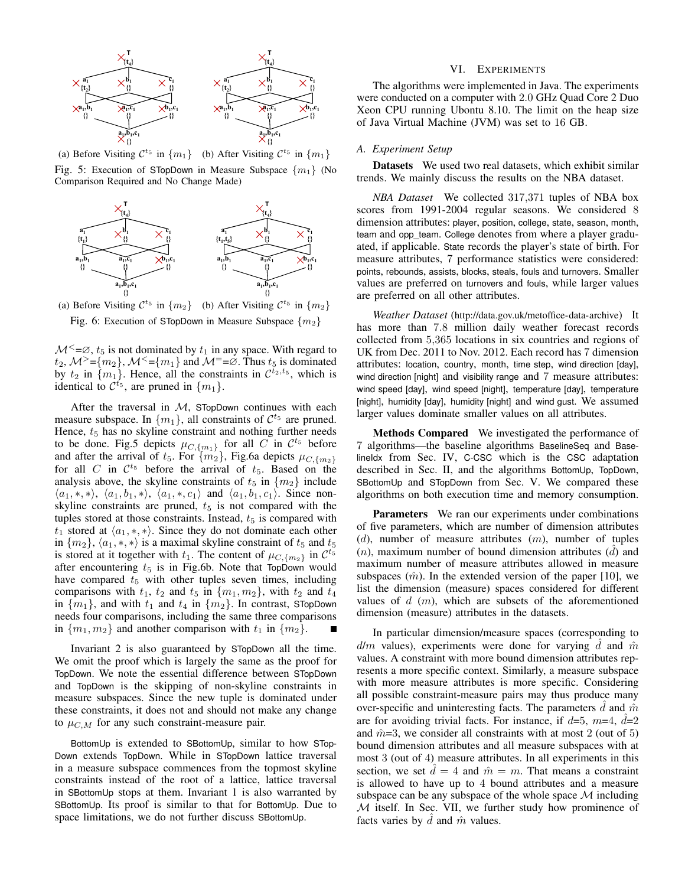

(a) Before Visiting  $C^{t_5}$  in  $\{m_1\}$  (b) After Visiting  $C^{t_5}$  in  $\{m_1\}$ Fig. 5: Execution of STopDown in Measure Subspace  $\{m_1\}$  (No Comparison Required and No Change Made)



(a) Before Visiting  $C^{t_5}$  in  $\{m_2\}$  (b) After Visiting  $C^{t_5}$  in  $\{m_2\}$ 

Fig. 6: Execution of STopDown in Measure Subspace  $\{m_2\}$ 

 $\mathcal{M}^{\leq} = \emptyset$ ,  $t_5$  is not dominated by  $t_1$  in any space. With regard to  $t_2, \mathcal{M}^>=\{m_2\}, \mathcal{M}^<=\{m_1\}$  and  $\mathcal{M}^==\emptyset$ . Thus  $t_5$  is dominated by  $t_2$  in  $\{m_1\}$ . Hence, all the constraints in  $\mathcal{C}^{t_2,t_5}$ , which is identical to  $\mathcal{C}^{t_5}$ , are pruned in  $\{m_1\}$ .

After the traversal in  $M$ , STopDown continues with each measure subspace. In  $\{m_1\}$ , all constraints of  $\mathcal{C}^{t_5}$  are pruned. Hence,  $t<sub>5</sub>$  has no skyline constraint and nothing further needs to be done. Fig.5 depicts  $\mu_{C, \{m_1\}}$  for all C in  $\mathcal{C}^{t_5}$  before and after the arrival of  $t_5$ . For  $\{m_2\}$ , Fig.6a depicts  $\mu_{C,\{m_2\}}$ for all C in  $\mathcal{C}^{t_5}$  before the arrival of  $t_5$ . Based on the analysis above, the skyline constraints of  $t_5$  in  $\{m_2\}$  include  $\langle a_1, *, *, \rangle$ ,  $\langle a_1, b_1, *, \rangle$ ,  $\langle a_1, *, c_1 \rangle$  and  $\langle a_1, b_1, c_1 \rangle$ . Since nonskyline constraints are pruned,  $t<sub>5</sub>$  is not compared with the tuples stored at those constraints. Instead,  $t<sub>5</sub>$  is compared with  $t_1$  stored at  $\langle a_1, *, * \rangle$ . Since they do not dominate each other in  $\{m_2\}$ ,  $\langle a_1, *, * \rangle$  is a maximal skyline constraint of  $t_5$  and  $t_5$ is stored at it together with  $t_1$ . The content of  $\mu_{C, \{m_2\}}$  in  $\mathcal{C}^{t_5}$ after encountering  $t_5$  is in Fig.6b. Note that TopDown would have compared  $t<sub>5</sub>$  with other tuples seven times, including comparisons with  $t_1$ ,  $t_2$  and  $t_5$  in  $\{m_1, m_2\}$ , with  $t_2$  and  $t_4$ in  $\{m_1\}$ , and with  $t_1$  and  $t_4$  in  $\{m_2\}$ . In contrast, STopDown needs four comparisons, including the same three comparisons in  $\{m_1, m_2\}$  and another comparison with  $t_1$  in  $\{m_2\}$ .

Invariant 2 is also guaranteed by STopDown all the time. We omit the proof which is largely the same as the proof for TopDown. We note the essential difference between STopDown and TopDown is the skipping of non-skyline constraints in measure subspaces. Since the new tuple is dominated under these constraints, it does not and should not make any change to  $\mu_{C,M}$  for any such constraint-measure pair.

BottomUp is extended to SBottomUp, similar to how STop-Down extends TopDown. While in STopDown lattice traversal in a measure subspace commences from the topmost skyline constraints instead of the root of a lattice, lattice traversal in SBottomUp stops at them. Invariant 1 is also warranted by SBottomUp. Its proof is similar to that for BottomUp. Due to space limitations, we do not further discuss SBottomUp.

## VI. EXPERIMENTS

The algorithms were implemented in Java. The experiments were conducted on a computer with 2.0 GHz Quad Core 2 Duo Xeon CPU running Ubontu 8.10. The limit on the heap size of Java Virtual Machine (JVM) was set to 16 GB.

## *A. Experiment Setup*

**Datasets** We used two real datasets, which exhibit similar trends. We mainly discuss the results on the NBA dataset.

*NBA Dataset* We collected 317,371 tuples of NBA box scores from 1991-2004 regular seasons. We considered 8 dimension attributes: player, position, college, state, season, month, team and opp\_team. College denotes from where a player graduated, if applicable. State records the player's state of birth. For measure attributes, 7 performance statistics were considered: points, rebounds, assists, blocks, steals, fouls and turnovers. Smaller values are preferred on turnovers and fouls, while larger values are preferred on all other attributes.

*Weather Dataset* (http://data.gov.uk/metoffice-data-archive) It has more than 7.8 million daily weather forecast records collected from 5,365 locations in six countries and regions of UK from Dec. 2011 to Nov. 2012. Each record has 7 dimension attributes: location, country, month, time step, wind direction [day], wind direction [night] and visibility range and 7 measure attributes: wind speed [day], wind speed [night], temperature [day], temperature [night], humidity [day], humidity [night] and wind gust. We assumed larger values dominate smaller values on all attributes.

**Methods Compared** We investigated the performance of 7 algorithms—the baseline algorithms BaselineSeq and Baselineldx from Sec. IV, C-CSC which is the CSC adaptation described in Sec. II, and the algorithms BottomUp, TopDown, SBottomUp and STopDown from Sec. V. We compared these algorithms on both execution time and memory consumption.

**Parameters** We ran our experiments under combinations of five parameters, which are number of dimension attributes (d), number of measure attributes  $(m)$ , number of tuples  $(n)$ , maximum number of bound dimension attributes  $(d)$  and maximum number of measure attributes allowed in measure subspaces  $(\hat{m})$ . In the extended version of the paper [10], we list the dimension (measure) spaces considered for different values of  $d(m)$ , which are subsets of the aforementioned dimension (measure) attributes in the datasets.

In particular dimension/measure spaces (corresponding to  $d/m$  values), experiments were done for varying  $\tilde{d}$  and  $\hat{m}$ values. A constraint with more bound dimension attributes represents a more specific context. Similarly, a measure subspace with more measure attributes is more specific. Considering all possible constraint-measure pairs may thus produce many over-specific and uninteresting facts. The parameters  $\tilde{d}$  and  $\hat{m}$ are for avoiding trivial facts. For instance, if  $d=5$ ,  $m=4$ ,  $\hat{d}=2$ and  $\hat{m}=3$ , we consider all constraints with at most 2 (out of 5) bound dimension attributes and all measure subspaces with at most 3 (out of 4) measure attributes. In all experiments in this section, we set  $\hat{d} = 4$  and  $\hat{m} = m$ . That means a constraint is allowed to have up to 4 bound attributes and a measure subspace can be any subspace of the whole space  $M$  including M itself. In Sec. VII, we further study how prominence of facts varies by  $d$  and  $\hat{m}$  values.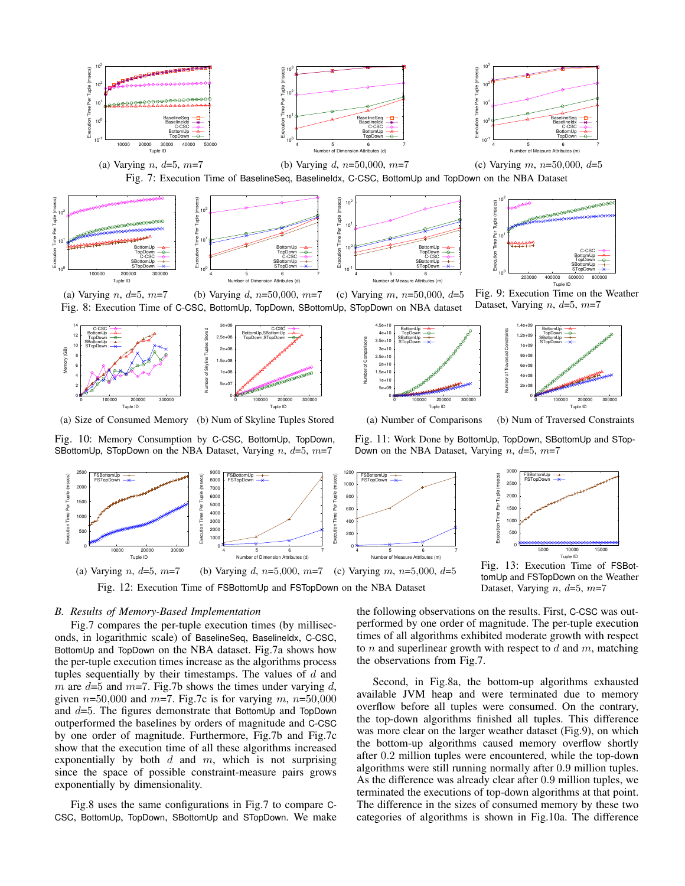

(a) Varying  $n, d=5, m=7$ (b) Varying  $d, n=50,000, m=7$ (c) Varying  $m$ ,  $n=50,000$ ,  $d=5$ Fig. 8: Execution Time of C-CSC, BottomUp, TopDown, SBottomUp, STopDown on NBA dataset



 0 5e+09





Fig. 9: Execution Time on the Weather Dataset, Varying  $n, d=5, m=7$ 



(a) Number of Comparisons

(b) Num of Traversed Constraints

0 100000 200000 300000

Tuple ID

Fig. 10: Memory Consumption by C-CSC, BottomUp, TopDown, SBottomUp, STopDown on the NBA Dataset, Varying  $n, d=5, m=7$ 

(a) Size of Consumed Memory (b) Num of Skyline Tuples Stored

Fig. 11: Work Done by BottomUp, TopDown, SBottomUp and STop-Down on the NBA Dataset, Varying  $n, d=5, m=7$ 



Fig. 12: Execution Time of FSBottomUp and FSTopDown on the NBA Dataset

## *B. Results of Memory-Based Implementation*

Fig.7 compares the per-tuple execution times (by milliseconds, in logarithmic scale) of BaselineSeq, BaselineIdx, C-CSC, BottomUp and TopDown on the NBA dataset. Fig.7a shows how the per-tuple execution times increase as the algorithms process tuples sequentially by their timestamps. The values of  $d$  and m are  $d=5$  and  $m=7$ . Fig.7b shows the times under varying d, given  $n=50,000$  and  $m=7$ . Fig.7c is for varying m,  $n=50,000$ and  $d=5$ . The figures demonstrate that BottomUp and TopDown outperformed the baselines by orders of magnitude and C-CSC by one order of magnitude. Furthermore, Fig.7b and Fig.7c show that the execution time of all these algorithms increased exponentially by both  $d$  and  $m$ , which is not surprising since the space of possible constraint-measure pairs grows exponentially by dimensionality.

Fig.8 uses the same configurations in Fig.7 to compare C-CSC, BottomUp, TopDown, SBottomUp and STopDown. We make the following observations on the results. First, C-CSC was outperformed by one order of magnitude. The per-tuple execution times of all algorithms exhibited moderate growth with respect to  $n$  and superlinear growth with respect to  $d$  and  $m$ , matching the observations from Fig.7.

Second, in Fig.8a, the bottom-up algorithms exhausted available JVM heap and were terminated due to memory overflow before all tuples were consumed. On the contrary, the top-down algorithms finished all tuples. This difference was more clear on the larger weather dataset (Fig.9), on which the bottom-up algorithms caused memory overflow shortly after 0.2 million tuples were encountered, while the top-down algorithms were still running normally after 0.9 million tuples. As the difference was already clear after 0.9 million tuples, we terminated the executions of top-down algorithms at that point. The difference in the sizes of consumed memory by these two categories of algorithms is shown in Fig.10a. The difference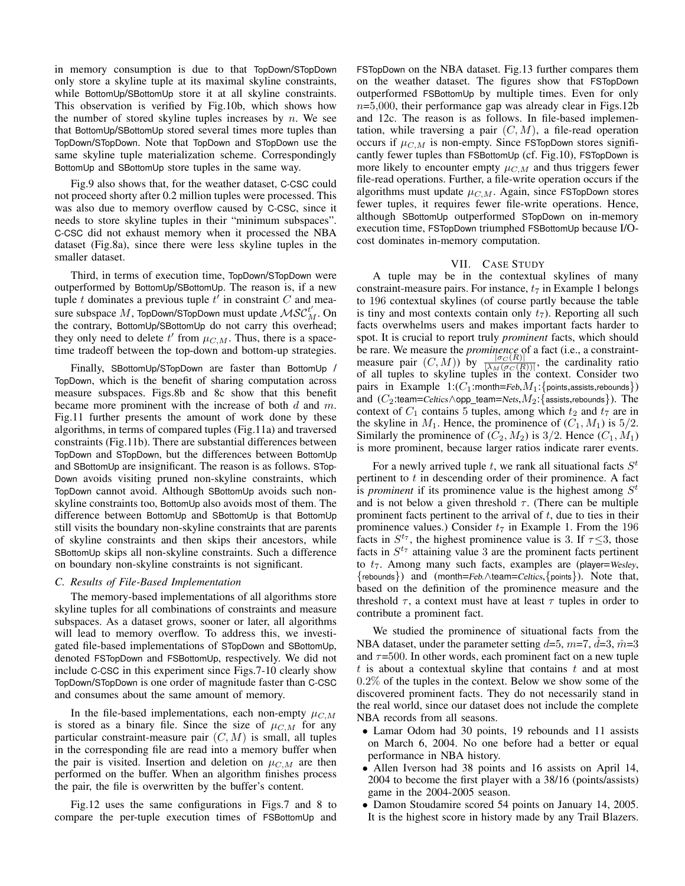in memory consumption is due to that TopDown/STopDown only store a skyline tuple at its maximal skyline constraints, while BottomUp/SBottomUp store it at all skyline constraints. This observation is verified by Fig.10b, which shows how the number of stored skyline tuples increases by  $n$ . We see that BottomUp/SBottomUp stored several times more tuples than TopDown/STopDown. Note that TopDown and STopDown use the same skyline tuple materialization scheme. Correspondingly BottomUp and SBottomUp store tuples in the same way.

Fig.9 also shows that, for the weather dataset, C-CSC could not proceed shorty after 0.2 million tuples were processed. This was also due to memory overflow caused by C-CSC, since it needs to store skyline tuples in their "minimum subspaces". C-CSC did not exhaust memory when it processed the NBA dataset (Fig.8a), since there were less skyline tuples in the smaller dataset.

Third, in terms of execution time, TopDown/STopDown were outperformed by BottomUp/SBottomUp. The reason is, if a new tuple t dominates a previous tuple t' in constraint C and measure subspace  $M$ , TopDown/STopDown must update  $\mathcal{MSC}_{M}^{t'}$ . On the contrary, BottomUp/SBottomUp do not carry this overhead; they only need to delete  $t'$  from  $\mu_{C,M}$ . Thus, there is a spacetime tradeoff between the top-down and bottom-up strategies.

Finally, SBottomUp/STopDown are faster than BottomUp / TopDown, which is the benefit of sharing computation across measure subspaces. Figs.8b and 8c show that this benefit became more prominent with the increase of both  $d$  and  $m$ . Fig.11 further presents the amount of work done by these algorithms, in terms of compared tuples (Fig.11a) and traversed constraints (Fig.11b). There are substantial differences between TopDown and STopDown, but the differences between BottomUp and SBottomUp are insignificant. The reason is as follows. STop-Down avoids visiting pruned non-skyline constraints, which TopDown cannot avoid. Although SBottomUp avoids such nonskyline constraints too, BottomUp also avoids most of them. The difference between BottomUp and SBottomUp is that BottomUp still visits the boundary non-skyline constraints that are parents of skyline constraints and then skips their ancestors, while SBottomUp skips all non-skyline constraints. Such a difference on boundary non-skyline constraints is not significant.

## *C. Results of File-Based Implementation*

The memory-based implementations of all algorithms store skyline tuples for all combinations of constraints and measure subspaces. As a dataset grows, sooner or later, all algorithms will lead to memory overflow. To address this, we investigated file-based implementations of STopDown and SBottomUp, denoted FSTopDown and FSBottomUp, respectively. We did not include C-CSC in this experiment since Figs.7-10 clearly show TopDown/STopDown is one order of magnitude faster than C-CSC and consumes about the same amount of memory.

In the file-based implementations, each non-empty  $\mu_{C,M}$ is stored as a binary file. Since the size of  $\mu_{C,M}$  for any particular constraint-measure pair  $(C, M)$  is small, all tuples in the corresponding file are read into a memory buffer when the pair is visited. Insertion and deletion on  $\mu_{C,M}$  are then performed on the buffer. When an algorithm finishes process the pair, the file is overwritten by the buffer's content.

Fig.12 uses the same configurations in Figs.7 and 8 to compare the per-tuple execution times of FSBottomUp and FSTopDown on the NBA dataset. Fig.13 further compares them on the weather dataset. The figures show that FSTopDown outperformed FSBottomUp by multiple times. Even for only  $n=5,000$ , their performance gap was already clear in Figs.12b and 12c. The reason is as follows. In file-based implementation, while traversing a pair  $(C, M)$ , a file-read operation occurs if  $\mu_{C,M}$  is non-empty. Since FSTopDown stores significantly fewer tuples than FSBottomUp (cf. Fig.10), FSTopDown is more likely to encounter empty  $\mu_{CM}$  and thus triggers fewer file-read operations. Further, a file-write operation occurs if the algorithms must update  $\mu_{C,M}$ . Again, since FSTopDown stores fewer tuples, it requires fewer file-write operations. Hence, although SBottomUp outperformed STopDown on in-memory execution time, FSTopDown triumphed FSBottomUp because I/Ocost dominates in-memory computation.

## VII. CASE STUDY

A tuple may be in the contextual skylines of many constraint-measure pairs. For instance,  $t_7$  in Example 1 belongs to 196 contextual skylines (of course partly because the table is tiny and most contexts contain only  $t_7$ ). Reporting all such facts overwhelms users and makes important facts harder to spot. It is crucial to report truly *prominent* facts, which should be rare. We measure the *prominence* of a fact (i.e., a constraintmeasure pair  $(C, M)$  by  $\frac{|\sigma_C(R)|}{|\lambda_M(\sigma_C(R))|}$ , the cardinality ratio of all tuples to skyline tuples in the context. Consider two pairs in Example  $1:(C_1:\text{month}=\text{Feb},M_1:\{\text{points},\text{assists},\text{rebounds}\})$ and  $(C_2:$ team=Celtics∧opp\_team=Nets, $M_2:$ {assists,rebounds}). The context of  $C_1$  contains 5 tuples, among which  $t_2$  and  $t_7$  are in the skyline in  $M_1$ . Hence, the prominence of  $(C_1, M_1)$  is  $5/2$ . Similarly the prominence of  $(C_2, M_2)$  is 3/2. Hence  $(C_1, M_1)$ is more prominent, because larger ratios indicate rarer events.

For a newly arrived tuple t, we rank all situational facts  $S<sup>t</sup>$ pertinent to  $t$  in descending order of their prominence. A fact is *prominent* if its prominence value is the highest among  $S<sup>t</sup>$ and is not below a given threshold  $\tau$ . (There can be multiple prominent facts pertinent to the arrival of  $t$ , due to ties in their prominence values.) Consider  $t_7$  in Example 1. From the 196 facts in  $S^{t_7}$ , the highest prominence value is 3. If  $\tau \leq 3$ , those facts in  $S^{t_7}$  attaining value 3 are the prominent facts pertinent to  $t_7$ . Among many such facts, examples are (player=Wesley,  $\{$ rebounds $\})$  and  $($ month=Feb. $\wedge$ team=Celtics, $\{$ points $\})$ . Note that, based on the definition of the prominence measure and the threshold  $\tau$ , a context must have at least  $\tau$  tuples in order to contribute a prominent fact.

We studied the prominence of situational facts from the NBA dataset, under the parameter setting  $d=5$ ,  $m=7$ ,  $\hat{d}=3$ ,  $\hat{m}=3$ and  $\tau$ =500. In other words, each prominent fact on a new tuple  $t$  is about a contextual skyline that contains  $t$  and at most 0.2% of the tuples in the context. Below we show some of the discovered prominent facts. They do not necessarily stand in the real world, since our dataset does not include the complete NBA records from all seasons.

- Lamar Odom had 30 points, 19 rebounds and 11 assists on March 6, 2004. No one before had a better or equal performance in NBA history.
- Allen Iverson had 38 points and 16 assists on April 14, 2004 to become the first player with a 38/16 (points/assists) game in the 2004-2005 season.
- Damon Stoudamire scored 54 points on January 14, 2005. It is the highest score in history made by any Trail Blazers.